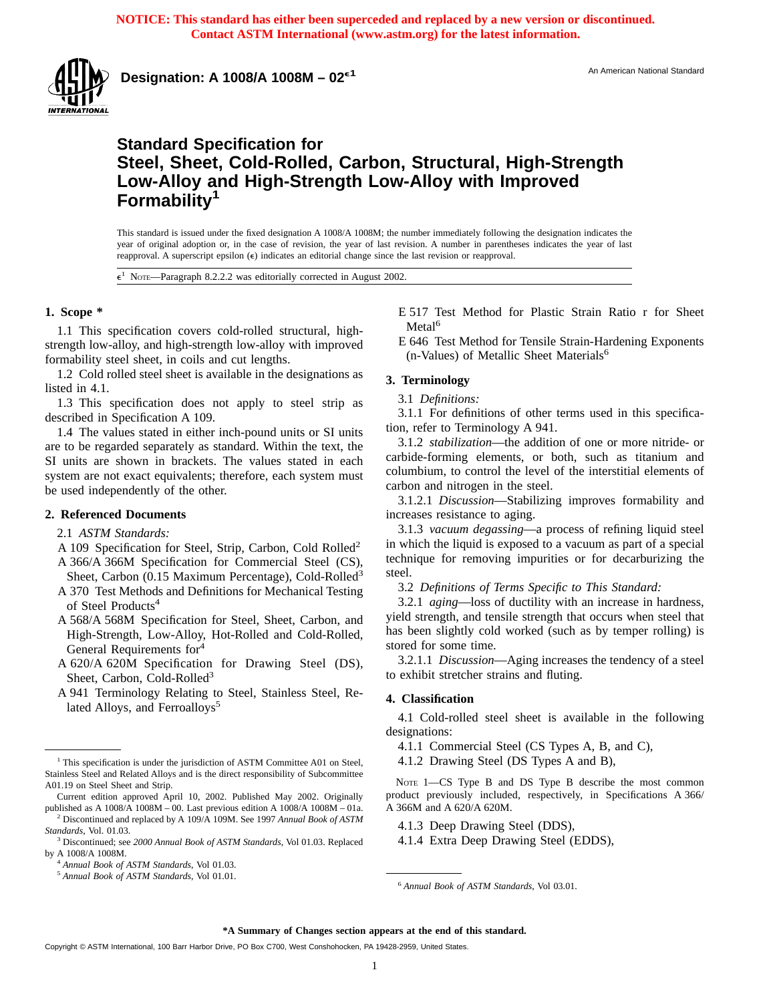

**Designation: A 1008/A 1008M – 02<sup>e1</sup>** An American National Standard National Standard

# **Standard Specification for Steel, Sheet, Cold-Rolled, Carbon, Structural, High-Strength Low-Alloy and High-Strength Low-Alloy with Improved Formability<sup>1</sup>**

This standard is issued under the fixed designation A 1008/A 1008M; the number immediately following the designation indicates the year of original adoption or, in the case of revision, the year of last revision. A number in parentheses indicates the year of last reapproval. A superscript epsilon (e) indicates an editorial change since the last revision or reapproval.

NOTE—Paragraph 8.2.2.2 was editorially corrected in August 2002.

# **1. Scope \***

1.1 This specification covers cold-rolled structural, highstrength low-alloy, and high-strength low-alloy with improved formability steel sheet, in coils and cut lengths.

1.2 Cold rolled steel sheet is available in the designations as listed in 4.1.

1.3 This specification does not apply to steel strip as described in Specification A 109.

1.4 The values stated in either inch-pound units or SI units are to be regarded separately as standard. Within the text, the SI units are shown in brackets. The values stated in each system are not exact equivalents; therefore, each system must be used independently of the other.

# **2. Referenced Documents**

- 2.1 *ASTM Standards:*
- A 109 Specification for Steel, Strip, Carbon, Cold Rolled<sup>2</sup> A 366/A 366M Specification for Commercial Steel (CS),
- Sheet, Carbon (0.15 Maximum Percentage), Cold-Rolled<sup>3</sup> A 370 Test Methods and Definitions for Mechanical Testing
- of Steel Products<sup>4</sup> A 568/A 568M Specification for Steel, Sheet, Carbon, and High-Strength, Low-Alloy, Hot-Rolled and Cold-Rolled, General Requirements for<sup>4</sup>
- A 620/A 620M Specification for Drawing Steel (DS), Sheet, Carbon, Cold-Rolled<sup>3</sup>
- A 941 Terminology Relating to Steel, Stainless Steel, Related Alloys, and Ferroalloys<sup>5</sup>

E 517 Test Method for Plastic Strain Ratio r for Sheet Metal<sup>6</sup>

E 646 Test Method for Tensile Strain-Hardening Exponents (n-Values) of Metallic Sheet Materials<sup>6</sup>

### **3. Terminology**

3.1 *Definitions:*

3.1.1 For definitions of other terms used in this specification, refer to Terminology A 941.

3.1.2 *stabilization*—the addition of one or more nitride- or carbide-forming elements, or both, such as titanium and columbium, to control the level of the interstitial elements of carbon and nitrogen in the steel.

3.1.2.1 *Discussion*—Stabilizing improves formability and increases resistance to aging.

3.1.3 *vacuum degassing*—a process of refining liquid steel in which the liquid is exposed to a vacuum as part of a special technique for removing impurities or for decarburizing the steel.

3.2 *Definitions of Terms Specific to This Standard:*

3.2.1 *aging*—loss of ductility with an increase in hardness, yield strength, and tensile strength that occurs when steel that has been slightly cold worked (such as by temper rolling) is stored for some time.

3.2.1.1 *Discussion*—Aging increases the tendency of a steel to exhibit stretcher strains and fluting.

# **4. Classification**

4.1 Cold-rolled steel sheet is available in the following designations:

4.1.1 Commercial Steel (CS Types A, B, and C),

4.1.2 Drawing Steel (DS Types A and B),

NOTE 1-CS Type B and DS Type B describe the most common product previously included, respectively, in Specifications A 366/ A 366M and A 620/A 620M.

4.1.3 Deep Drawing Steel (DDS),

4.1.4 Extra Deep Drawing Steel (EDDS),

#### **\*A Summary of Changes section appears at the end of this standard.**

<sup>&</sup>lt;sup>1</sup> This specification is under the jurisdiction of ASTM Committee A01 on Steel, Stainless Steel and Related Alloys and is the direct responsibility of Subcommittee A01.19 on Steel Sheet and Strip.

Current edition approved April 10, 2002. Published May 2002. Originally published as A 1008/A 1008M – 00. Last previous edition A 1008/A 1008M – 01a.

<sup>2</sup> Discontinued and replaced by A 109/A 109M. See 1997 *Annual Book of ASTM Standards*, Vol. 01.03.

<sup>3</sup> Discontinued; see *2000 Annual Book of ASTM Standards*, Vol 01.03. Replaced by A 1008/A 1008M.

<sup>4</sup> *Annual Book of ASTM Standards*, Vol 01.03.

<sup>&</sup>lt;sup>5</sup> Annual Book of ASTM Standards, Vol 01.01. <sup>6</sup> *Annual Book of ASTM Standards*, Vol 03.01.

Copyright © ASTM International, 100 Barr Harbor Drive, PO Box C700, West Conshohocken, PA 19428-2959, United States.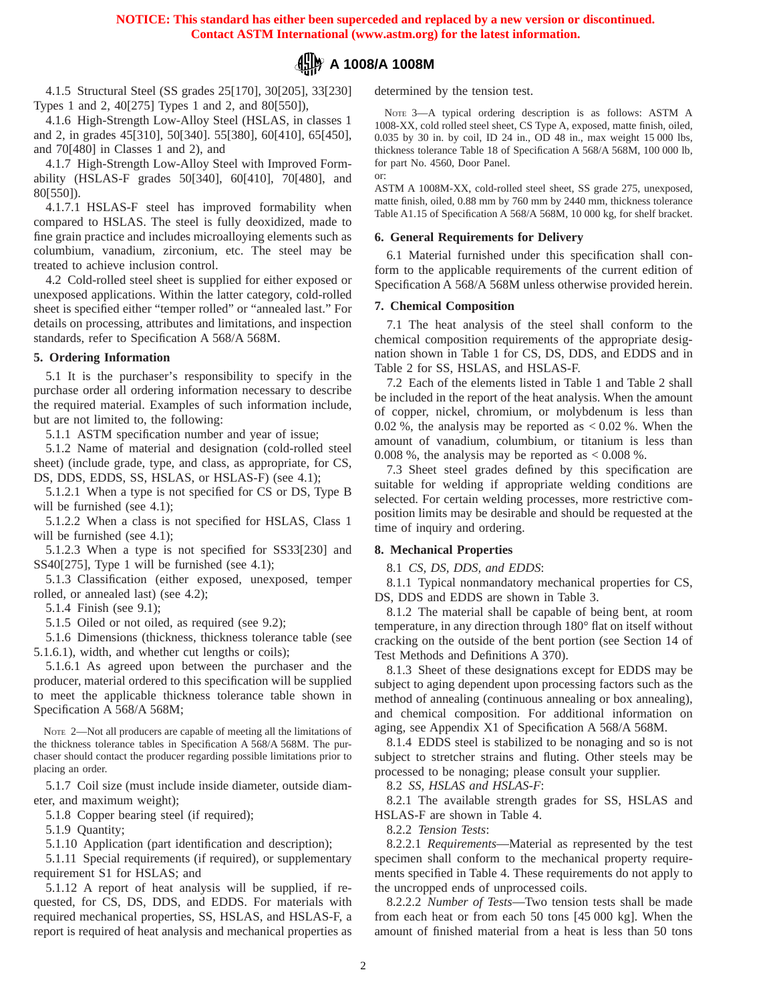or:

# **A 1008/A 1008M**

4.1.5 Structural Steel (SS grades 25[170], 30[205], 33[230] Types 1 and 2, 40[275] Types 1 and 2, and 80[550]),

4.1.6 High-Strength Low-Alloy Steel (HSLAS, in classes 1 and 2, in grades 45[310], 50[340]. 55[380], 60[410], 65[450], and 70[480] in Classes 1 and 2), and

4.1.7 High-Strength Low-Alloy Steel with Improved Formability (HSLAS-F grades 50[340], 60[410], 70[480], and 80[550]).

4.1.7.1 HSLAS-F steel has improved formability when compared to HSLAS. The steel is fully deoxidized, made to fine grain practice and includes microalloying elements such as columbium, vanadium, zirconium, etc. The steel may be treated to achieve inclusion control.

4.2 Cold-rolled steel sheet is supplied for either exposed or unexposed applications. Within the latter category, cold-rolled sheet is specified either "temper rolled" or "annealed last." For details on processing, attributes and limitations, and inspection standards, refer to Specification A 568/A 568M.

## **5. Ordering Information**

5.1 It is the purchaser's responsibility to specify in the purchase order all ordering information necessary to describe the required material. Examples of such information include, but are not limited to, the following:

5.1.1 ASTM specification number and year of issue;

5.1.2 Name of material and designation (cold-rolled steel sheet) (include grade, type, and class, as appropriate, for CS, DS, DDS, EDDS, SS, HSLAS, or HSLAS-F) (see 4.1);

5.1.2.1 When a type is not specified for CS or DS, Type B will be furnished (see 4.1);

5.1.2.2 When a class is not specified for HSLAS, Class 1 will be furnished (see 4.1);

5.1.2.3 When a type is not specified for SS33[230] and SS40[275], Type 1 will be furnished (see 4.1);

5.1.3 Classification (either exposed, unexposed, temper rolled, or annealed last) (see 4.2);

5.1.4 Finish (see 9.1);

5.1.5 Oiled or not oiled, as required (see 9.2);

5.1.6 Dimensions (thickness, thickness tolerance table (see 5.1.6.1), width, and whether cut lengths or coils);

5.1.6.1 As agreed upon between the purchaser and the producer, material ordered to this specification will be supplied to meet the applicable thickness tolerance table shown in Specification A 568/A 568M;

NOTE 2—Not all producers are capable of meeting all the limitations of the thickness tolerance tables in Specification A 568/A 568M. The purchaser should contact the producer regarding possible limitations prior to placing an order.

5.1.7 Coil size (must include inside diameter, outside diameter, and maximum weight);

5.1.8 Copper bearing steel (if required);

5.1.9 Quantity;

5.1.10 Application (part identification and description);

5.1.11 Special requirements (if required), or supplementary requirement S1 for HSLAS; and

5.1.12 A report of heat analysis will be supplied, if requested, for CS, DS, DDS, and EDDS. For materials with required mechanical properties, SS, HSLAS, and HSLAS-F, a report is required of heat analysis and mechanical properties as determined by the tension test.

NOTE 3—A typical ordering description is as follows: ASTM A 1008-XX, cold rolled steel sheet, CS Type A, exposed, matte finish, oiled, 0.035 by 30 in. by coil, ID 24 in., OD 48 in., max weight 15 000 lbs, thickness tolerance Table 18 of Specification A 568/A 568M, 100 000 lb, for part No. 4560, Door Panel.

ASTM A 1008M-XX, cold-rolled steel sheet, SS grade 275, unexposed, matte finish, oiled, 0.88 mm by 760 mm by 2440 mm, thickness tolerance Table A1.15 of Specification A 568/A 568M, 10 000 kg, for shelf bracket.

### **6. General Requirements for Delivery**

6.1 Material furnished under this specification shall conform to the applicable requirements of the current edition of Specification A 568/A 568M unless otherwise provided herein.

#### **7. Chemical Composition**

7.1 The heat analysis of the steel shall conform to the chemical composition requirements of the appropriate designation shown in Table 1 for CS, DS, DDS, and EDDS and in Table 2 for SS, HSLAS, and HSLAS-F.

7.2 Each of the elements listed in Table 1 and Table 2 shall be included in the report of the heat analysis. When the amount of copper, nickel, chromium, or molybdenum is less than 0.02 %, the analysis may be reported as  $< 0.02$  %. When the amount of vanadium, columbium, or titanium is less than 0.008 %, the analysis may be reported as  $< 0.008$  %.

7.3 Sheet steel grades defined by this specification are suitable for welding if appropriate welding conditions are selected. For certain welding processes, more restrictive composition limits may be desirable and should be requested at the time of inquiry and ordering.

# **8. Mechanical Properties**

8.1 *CS, DS, DDS, and EDDS*:

8.1.1 Typical nonmandatory mechanical properties for CS, DS, DDS and EDDS are shown in Table 3.

8.1.2 The material shall be capable of being bent, at room temperature, in any direction through 180° flat on itself without cracking on the outside of the bent portion (see Section 14 of Test Methods and Definitions A 370).

8.1.3 Sheet of these designations except for EDDS may be subject to aging dependent upon processing factors such as the method of annealing (continuous annealing or box annealing), and chemical composition. For additional information on aging, see Appendix X1 of Specification A 568/A 568M.

8.1.4 EDDS steel is stabilized to be nonaging and so is not subject to stretcher strains and fluting. Other steels may be processed to be nonaging; please consult your supplier.

8.2 *SS, HSLAS and HSLAS-F*:

8.2.1 The available strength grades for SS, HSLAS and HSLAS-F are shown in Table 4.

8.2.2 *Tension Tests*:

8.2.2.1 *Requirements*—Material as represented by the test specimen shall conform to the mechanical property requirements specified in Table 4. These requirements do not apply to the uncropped ends of unprocessed coils.

8.2.2.2 *Number of Tests*—Two tension tests shall be made from each heat or from each 50 tons [45 000 kg]. When the amount of finished material from a heat is less than 50 tons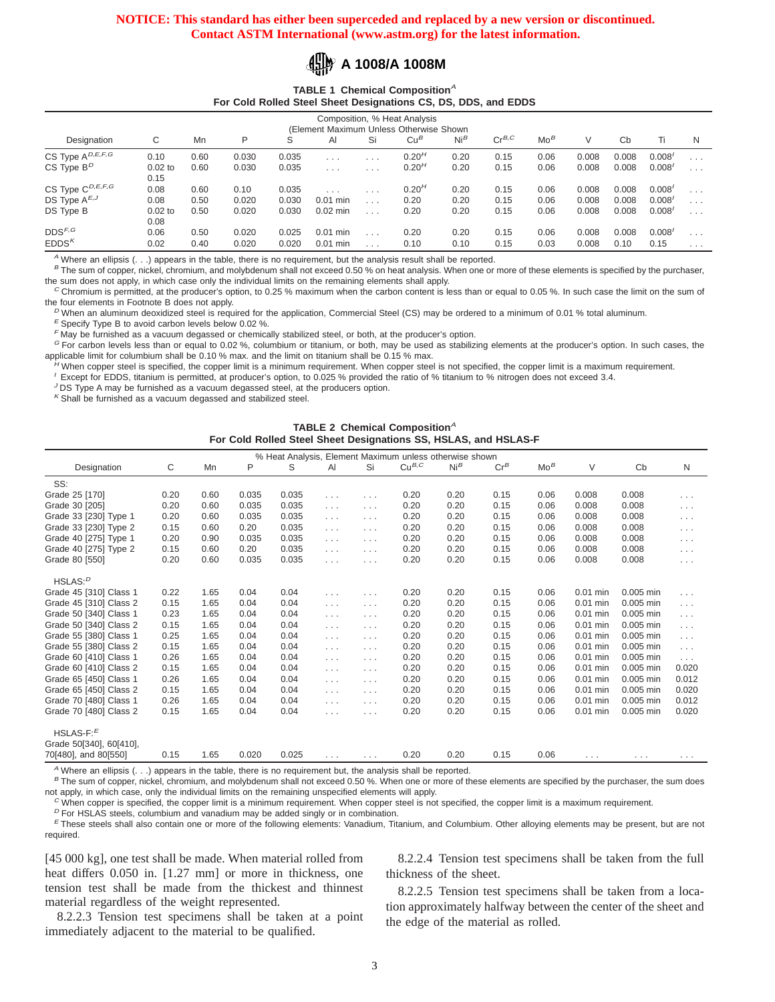

#### **TABLE 1 Chemical Composition**<sup>A</sup> **For Cold Rolled Steel Sheet Designations CS, DS, DDS, and EDDS**

| Composition, % Heat Analysis<br>(Element Maximum Unless Otherwise Shown |                   |      |       |       |            |                         |                   |                 |            |        |       |       |        |                      |
|-------------------------------------------------------------------------|-------------------|------|-------|-------|------------|-------------------------|-------------------|-----------------|------------|--------|-------|-------|--------|----------------------|
| Designation                                                             | С                 | Mn   | P     | S     | Al         | Si                      | $Cu^B$            | Ni <sup>B</sup> | $Cr^{B,C}$ | $Mo^B$ | V     | Cb    | Ti.    | N                    |
| CS Type A <sup>D,E,F,G</sup>                                            | 0.10              | 0.60 | 0.030 | 0.035 | $\cdots$   | $\cdots$                | 0.20 <sup>H</sup> | 0.20            | 0.15       | 0.06   | 0.008 | 0.008 | 0.008' | $\cdots$             |
| $CS$ Type $B^D$                                                         | $0.02$ to<br>0.15 | 0.60 | 0.030 | 0.035 | $\cdots$   | $\cdot$ $\cdot$ $\cdot$ | 0.20 <sup>H</sup> | 0.20            | 0.15       | 0.06   | 0.008 | 0.008 | 0.008' | $\cdots$             |
| CS Type C <sup>D,E,F,G</sup>                                            | 0.08              | 0.60 | 0.10  | 0.035 | .          | $\cdots$                | 0.20 <sup>H</sup> | 0.20            | 0.15       | 0.06   | 0.008 | 0.008 | 0.008' | $\cdots$             |
| DS Type $A^{E,J}$                                                       | 0.08              | 0.50 | 0.020 | 0.030 | $0.01$ min | $\cdots$                | 0.20              | 0.20            | 0.15       | 0.06   | 0.008 | 0.008 | 0.008' | $\sim$ $\sim$ $\sim$ |
| DS Type B                                                               | $0.02$ to<br>0.08 | 0.50 | 0.020 | 0.030 | $0.02$ min | $\cdots$                | 0.20              | 0.20            | 0.15       | 0.06   | 0.008 | 0.008 | 0.008' | $\sim$ $\sim$ $\sim$ |
| $\texttt{DDS}^{F,G}$                                                    | 0.06              | 0.50 | 0.020 | 0.025 | $0.01$ min | $\cdots$                | 0.20              | 0.20            | 0.15       | 0.06   | 0.008 | 0.008 | 0.008' | $\sim$ $\sim$ $\sim$ |
| EDDS <sup>K</sup>                                                       | 0.02              | 0.40 | 0.020 | 0.020 | $0.01$ min |                         | 0.10              | 0.10            | 0.15       | 0.03   | 0.008 | 0.10  | 0.15   | $\cdots$             |

<sup>A</sup> Where an ellipsis  $( \ldots )$  appears in the table, there is no requirement, but the analysis result shall be reported.

B The sum of copper, nickel, chromium, and molybdenum shall not exceed 0.50 % on heat analysis. When one or more of these elements is specified by the purchaser, the sum does not apply, in which case only the individual limits on the remaining elements shall apply.

 $^C$  Chromium is permitted, at the producer's option, to 0.25 % maximum when the carbon content is less than or equal to 0.05 %. In such case the limit on the sum of the four elements in Footnote B does not apply.

 $^D$  When an aluminum deoxidized steel is required for the application, Commercial Steel (CS) may be ordered to a minimum of 0.01 % total aluminum.

 $E$  Specify Type B to avoid carbon levels below 0.02 %.

 $F$  May be furnished as a vacuum degassed or chemically stabilized steel, or both, at the producer's option.

<sup>G</sup> For carbon levels less than or equal to 0.02 %, columbium or titanium, or both, may be used as stabilizing elements at the producer's option. In such cases, the applicable limit for columbium shall be 0.10 % max. and the limit on titanium shall be 0.15 % max.

When copper steel is specified, the copper limit is a minimum requirement. When copper steel is not specified, the copper limit is a maximum requirement.

<sup>I</sup> Except for EDDS, titanium is permitted, at producer's option, to 0.025 % provided the ratio of % titanium to % nitrogen does not exceed 3.4.

 $J$  DS Type A may be furnished as a vacuum degassed steel, at the producers option.

 $K$  Shall be furnished as a vacuum degassed and stabilized steel.

# **TABLE 2 Chemical Composition**<sup>A</sup> **For Cold Rolled Steel Sheet Designations SS, HSLAS, and HSLAS-F**

| % Heat Analysis, Element Maximum unless otherwise shown |      |      |       |       |                      |                      |            |                 |        |        |            |             |                      |
|---------------------------------------------------------|------|------|-------|-------|----------------------|----------------------|------------|-----------------|--------|--------|------------|-------------|----------------------|
| Designation                                             | C    | Mn   | P     | S     | Al                   | Si                   | $Cu^{B,C}$ | Ni <sup>B</sup> | $Cr^B$ | $Mo^B$ | V          | Cb          | N                    |
| SS:                                                     |      |      |       |       |                      |                      |            |                 |        |        |            |             |                      |
| Grade 25 [170]                                          | 0.20 | 0.60 | 0.035 | 0.035 | $\cdots$             | $\cdots$             | 0.20       | 0.20            | 0.15   | 0.06   | 0.008      | 0.008       | $\cdots$             |
| Grade 30 [205]                                          | 0.20 | 0.60 | 0.035 | 0.035 | $\cdots$             | $\sim$ $\sim$ $\sim$ | 0.20       | 0.20            | 0.15   | 0.06   | 0.008      | 0.008       | $\sim$ $\sim$ $\sim$ |
| Grade 33 [230] Type 1                                   | 0.20 | 0.60 | 0.035 | 0.035 | $\sim$ $\sim$ $\sim$ | $\sim$ $\sim$ $\sim$ | 0.20       | 0.20            | 0.15   | 0.06   | 0.008      | 0.008       | $\sim$ $\sim$ $\sim$ |
| Grade 33 [230] Type 2                                   | 0.15 | 0.60 | 0.20  | 0.035 | $\sim$ $\sim$ $\sim$ | $\sim$ $\sim$ $\sim$ | 0.20       | 0.20            | 0.15   | 0.06   | 0.008      | 0.008       | $\sim$ $\sim$ $\sim$ |
| Grade 40 [275] Type 1                                   | 0.20 | 0.90 | 0.035 | 0.035 | $\cdots$             | $\cdots$             | 0.20       | 0.20            | 0.15   | 0.06   | 0.008      | 0.008       | $\sim$ $\sim$ $\sim$ |
| Grade 40 [275] Type 2                                   | 0.15 | 0.60 | 0.20  | 0.035 | $\sim$ $\sim$ $\sim$ | $\cdots$             | 0.20       | 0.20            | 0.15   | 0.06   | 0.008      | 0.008       | $\sim$ $\sim$ $\sim$ |
| Grade 80 [550]                                          | 0.20 | 0.60 | 0.035 | 0.035 | $\sim$ $\sim$ $\sim$ | $\sim$ $\sim$ $\sim$ | 0.20       | 0.20            | 0.15   | 0.06   | 0.008      | 0.008       | $\sim$ $\sim$ $\sim$ |
| HSLAS: P                                                |      |      |       |       |                      |                      |            |                 |        |        |            |             |                      |
| Grade 45 [310] Class 1                                  | 0.22 | 1.65 | 0.04  | 0.04  | $\cdots$             | $\cdots$             | 0.20       | 0.20            | 0.15   | 0.06   | 0.01 min   | $0.005$ min | $\cdots$             |
| Grade 45 [310] Class 2                                  | 0.15 | 1.65 | 0.04  | 0.04  | $\sim$ $\sim$ $\sim$ | $\cdots$             | 0.20       | 0.20            | 0.15   | 0.06   | $0.01$ min | 0.005 min   | $\sim$ $\sim$ $\sim$ |
| Grade 50 [340] Class 1                                  | 0.23 | 1.65 | 0.04  | 0.04  | $\cdots$             | $\cdots$             | 0.20       | 0.20            | 0.15   | 0.06   | $0.01$ min | 0.005 min   | $\sim$ $\sim$ $\sim$ |
| Grade 50 [340] Class 2                                  | 0.15 | 1.65 | 0.04  | 0.04  | $\cdots$             | $\sim$ $\sim$ $\sim$ | 0.20       | 0.20            | 0.15   | 0.06   | $0.01$ min | 0.005 min   | $\sim$ $\sim$ $\sim$ |
| Grade 55 [380] Class 1                                  | 0.25 | 1.65 | 0.04  | 0.04  | $\sim$ $\sim$ $\sim$ | $\sim$ $\sim$ $\sim$ | 0.20       | 0.20            | 0.15   | 0.06   | $0.01$ min | 0.005 min   | $\sim 100$           |
| Grade 55 [380] Class 2                                  | 0.15 | 1.65 | 0.04  | 0.04  | $\cdots$             | $\cdots$             | 0.20       | 0.20            | 0.15   | 0.06   | 0.01 min   | 0.005 min   | $\sim$ $\sim$ $\sim$ |
| Grade 60 [410] Class 1                                  | 0.26 | 1.65 | 0.04  | 0.04  | $\cdots$             | $\sim$ $\sim$ $\sim$ | 0.20       | 0.20            | 0.15   | 0.06   | $0.01$ min | 0.005 min   | $\sim$ $\sim$ $\sim$ |
| Grade 60 [410] Class 2                                  | 0.15 | 1.65 | 0.04  | 0.04  | $\sim$ $\sim$ $\sim$ | $\sim$ $\sim$ $\sim$ | 0.20       | 0.20            | 0.15   | 0.06   | 0.01 min   | 0.005 min   | 0.020                |
| Grade 65 [450] Class 1                                  | 0.26 | 1.65 | 0.04  | 0.04  | $\sim$ $\sim$ $\sim$ | $\cdots$             | 0.20       | 0.20            | 0.15   | 0.06   | 0.01 min   | 0.005 min   | 0.012                |
| Grade 65 [450] Class 2                                  | 0.15 | 1.65 | 0.04  | 0.04  | $\cdots$             | $\sim$ $\sim$ $\sim$ | 0.20       | 0.20            | 0.15   | 0.06   | $0.01$ min | 0.005 min   | 0.020                |
| Grade 70 [480] Class 1                                  | 0.26 | 1.65 | 0.04  | 0.04  | $\cdots$             | $\cdots$             | 0.20       | 0.20            | 0.15   | 0.06   | 0.01 min   | 0.005 min   | 0.012                |
| Grade 70 [480] Class 2                                  | 0.15 | 1.65 | 0.04  | 0.04  | $\cdots$             | $\cdots$             | 0.20       | 0.20            | 0.15   | 0.06   | $0.01$ min | 0.005 min   | 0.020                |
| HSLAS- $F: E$                                           |      |      |       |       |                      |                      |            |                 |        |        |            |             |                      |
| Grade 50[340], 60[410],                                 |      |      |       |       |                      |                      |            |                 |        |        |            |             |                      |
| 70[480], and 80[550]                                    | 0.15 | 1.65 | 0.020 | 0.025 | $\sim$ $\sim$ $\sim$ | $\cdots$             | 0.20       | 0.20            | 0.15   | 0.06   | $\cdots$   | $\cdots$    | $\cdots$             |

 $^A$  Where an ellipsis  $( \ldots )$  appears in the table, there is no requirement but, the analysis shall be reported.

<sup>B</sup> The sum of copper, nickel, chromium, and molybdenum shall not exceed 0.50 %. When one or more of these elements are specified by the purchaser, the sum does not apply, in which case, only the individual limits on the remaining unspecified elements will apply.

 $^C$  When copper is specified, the copper limit is a minimum requirement. When copper steel is not specified, the copper limit is a maximum requirement.

 $<sup>D</sup>$  For HSLAS steels, columbium and vanadium may be added singly or in combination.</sup>

<sup>E</sup> These steels shall also contain one or more of the following elements: Vanadium, Titanium, and Columbium. Other alloying elements may be present, but are not required.

[45 000 kg], one test shall be made. When material rolled from heat differs 0.050 in. [1.27 mm] or more in thickness, one tension test shall be made from the thickest and thinnest material regardless of the weight represented.

8.2.2.3 Tension test specimens shall be taken at a point immediately adjacent to the material to be qualified.

8.2.2.4 Tension test specimens shall be taken from the full thickness of the sheet.

8.2.2.5 Tension test specimens shall be taken from a location approximately halfway between the center of the sheet and the edge of the material as rolled.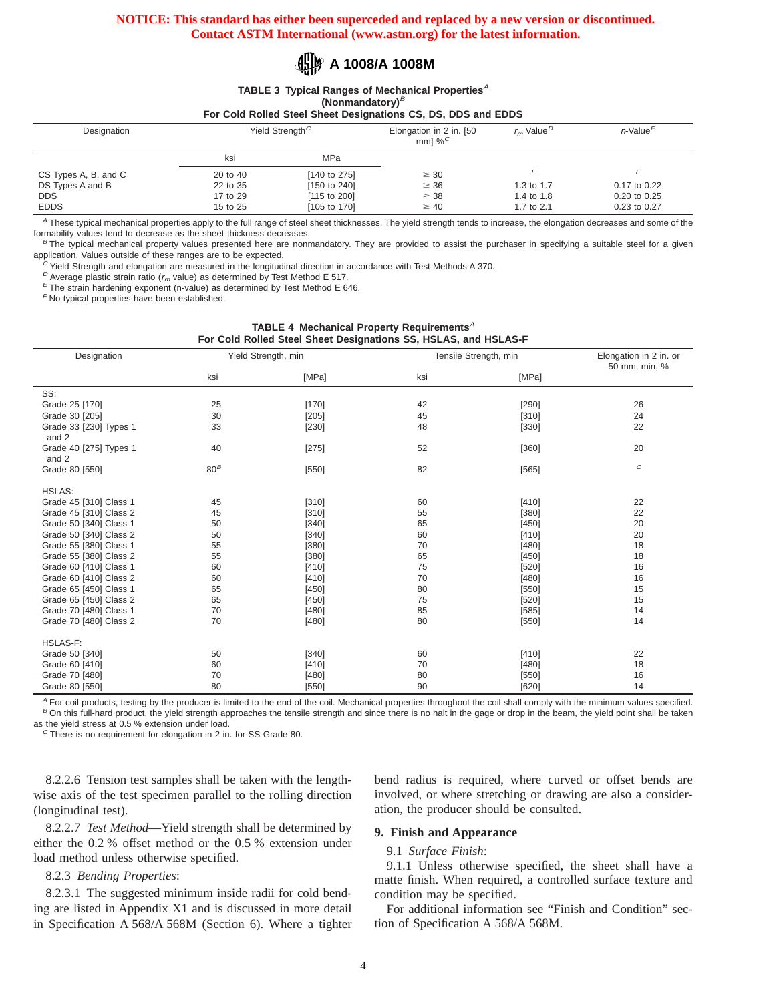# **A 1008/A 1008M**

TABLE 3 Typical Ranges of Mechanical Properties<sup>A</sup> **(Nonmandatory)**<sup>B</sup>

**For Cold Rolled Steel Sheet Designations CS, DS, DDS and EDDS**

| Designation          |          | Yield Strength <sup>C</sup> | Elongation in 2 in. [50<br>mml % $^C$ | $r_m$ Value <sup>D</sup> | $n$ -Value <sup>E</sup> |
|----------------------|----------|-----------------------------|---------------------------------------|--------------------------|-------------------------|
|                      | ksi      | MPa                         |                                       |                          |                         |
| CS Types A, B, and C | 20 to 40 | [140 to 275]                | $\geq 30$                             |                          | F                       |
| DS Types A and B     | 22 to 35 | [150 to 240]                | $\geq 36$                             | 1.3 to 1.7               | 0.17 to 0.22            |
| <b>DDS</b>           | 17 to 29 | [115 to 200]                | $\geq$ 38                             | 1.4 to 1.8               | 0.20 to 0.25            |
| <b>EDDS</b>          | 15 to 25 | [105 to 170]                | $\geq 40$                             | 1.7 to 2.1               | 0.23 to 0.27            |

A These typical mechanical properties apply to the full range of steel sheet thicknesses. The yield strength tends to increase, the elongation decreases and some of the formability values tend to decrease as the sheet thickness decreases.

**TABLE 4 Mechanical Property Requirements**<sup>A</sup>

<sup>B</sup> The typical mechanical property values presented here are nonmandatory. They are provided to assist the purchaser in specifying a suitable steel for a given application. Values outside of these ranges are to be expected.

 $c$  Yield Strength and elongation are measured in the longitudinal direction in accordance with Test Methods A 370.

 $D$  Average plastic strain ratio ( $r_m$  value) as determined by Test Method E 517.

 $E$  The strain hardening exponent (n-value) as determined by Test Method E 646.

 $F$  No typical properties have been established.

| For Cold Rolled Steel Sheet Designations SS, HSLAS, and HSLAS-F |        |                     |                       |                                         |          |  |  |
|-----------------------------------------------------------------|--------|---------------------|-----------------------|-----------------------------------------|----------|--|--|
| Designation                                                     |        | Yield Strength, min | Tensile Strength, min | Elongation in 2 in. or<br>50 mm, min, % |          |  |  |
|                                                                 | ksi    | [MPa]               | ksi                   | [MPa]                                   |          |  |  |
| SS:                                                             |        |                     |                       |                                         |          |  |  |
| Grade 25 [170]                                                  | 25     | $[170]$             | 42                    | [290]                                   | 26       |  |  |
| Grade 30 [205]                                                  | 30     | [205]               | 45                    | [310]                                   | 24       |  |  |
| Grade 33 [230] Types 1<br>and 2                                 | 33     | [230]               | 48                    | [330]                                   | 22       |  |  |
| Grade 40 [275] Types 1<br>and 2                                 | 40     | $[275]$             | 52                    | [360]                                   | 20       |  |  |
| Grade 80 [550]                                                  | $80^B$ | [550]               | 82                    | [565]                                   | $\cal C$ |  |  |
| <b>HSLAS:</b>                                                   |        |                     |                       |                                         |          |  |  |
| Grade 45 [310] Class 1                                          | 45     | [310]               | 60                    | [410]                                   | 22       |  |  |
| Grade 45 [310] Class 2                                          | 45     | [310]               | 55                    | [380]                                   | 22       |  |  |
| Grade 50 [340] Class 1                                          | 50     | [340]               | 65                    | [450]                                   | 20       |  |  |
| Grade 50 [340] Class 2                                          | 50     | [340]               | 60                    | [410]                                   | 20       |  |  |
| Grade 55 [380] Class 1                                          | 55     | [380]               | 70                    | [480]                                   | 18       |  |  |
| Grade 55 [380] Class 2                                          | 55     | [380]               | 65                    | [450]                                   | 18       |  |  |
| Grade 60 [410] Class 1                                          | 60     | [410]               | 75                    | [520]                                   | 16       |  |  |
| Grade 60 [410] Class 2                                          | 60     | [410]               | 70                    | [480]                                   | 16       |  |  |
| Grade 65 [450] Class 1                                          | 65     | [450]               | 80                    | [550]                                   | 15       |  |  |
| Grade 65 [450] Class 2                                          | 65     | [450]               | 75                    | [520]                                   | 15       |  |  |
| Grade 70 [480] Class 1                                          | 70     | [480]               | 85                    | [585]                                   | 14       |  |  |
| Grade 70 [480] Class 2                                          | 70     | [480]               | 80                    | [550]                                   | 14       |  |  |
| <b>HSLAS-F:</b>                                                 |        |                     |                       |                                         |          |  |  |
| Grade 50 [340]                                                  | 50     | [340]               | 60                    | [410]                                   | 22       |  |  |
| Grade 60 [410]                                                  | 60     | [410]               | 70                    | [480]                                   | 18       |  |  |
| Grade 70 [480]                                                  | 70     | $[480]$             | 80                    | [550]                                   | 16       |  |  |
| Grade 80 [550]                                                  | 80     | [550]               | 90                    | [620]                                   | 14       |  |  |

A For coil products, testing by the producer is limited to the end of the coil. Mechanical properties throughout the coil shall comply with the minimum values specified. B On this full-hard product, the yield strength approaches the tensile strength and since there is no halt in the gage or drop in the beam, the yield point shall be taken as the yield stress at 0.5 % extension under load.

 $C$  There is no requirement for elongation in 2 in. for SS Grade 80.

8.2.2.6 Tension test samples shall be taken with the lengthwise axis of the test specimen parallel to the rolling direction (longitudinal test).

8.2.2.7 *Test Method*—Yield strength shall be determined by either the 0.2 % offset method or the 0.5 % extension under load method unless otherwise specified.

# 8.2.3 *Bending Properties*:

8.2.3.1 The suggested minimum inside radii for cold bending are listed in Appendix X1 and is discussed in more detail in Specification A 568/A 568M (Section 6). Where a tighter bend radius is required, where curved or offset bends are involved, or where stretching or drawing are also a consideration, the producer should be consulted.

# **9. Finish and Appearance**

#### 9.1 *Surface Finish*:

9.1.1 Unless otherwise specified, the sheet shall have a matte finish. When required, a controlled surface texture and condition may be specified.

For additional information see "Finish and Condition" section of Specification A 568/A 568M.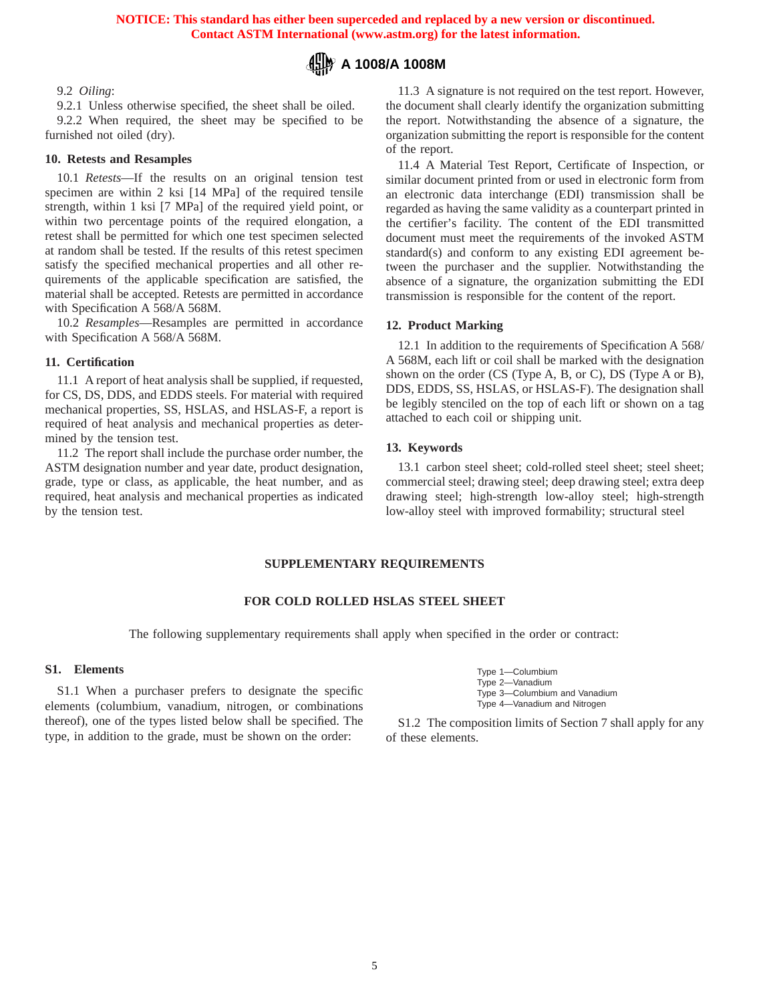

# 9.2 *Oiling*:

9.2.1 Unless otherwise specified, the sheet shall be oiled. 9.2.2 When required, the sheet may be specified to be furnished not oiled (dry).

## **10. Retests and Resamples**

10.1 *Retests*—If the results on an original tension test specimen are within 2 ksi [14 MPa] of the required tensile strength, within 1 ksi [7 MPa] of the required yield point, or within two percentage points of the required elongation, a retest shall be permitted for which one test specimen selected at random shall be tested. If the results of this retest specimen satisfy the specified mechanical properties and all other requirements of the applicable specification are satisfied, the material shall be accepted. Retests are permitted in accordance with Specification A 568/A 568M.

10.2 *Resamples*—Resamples are permitted in accordance with Specification A 568/A 568M.

#### **11. Certification**

11.1 A report of heat analysis shall be supplied, if requested, for CS, DS, DDS, and EDDS steels. For material with required mechanical properties, SS, HSLAS, and HSLAS-F, a report is required of heat analysis and mechanical properties as determined by the tension test.

11.2 The report shall include the purchase order number, the ASTM designation number and year date, product designation, grade, type or class, as applicable, the heat number, and as required, heat analysis and mechanical properties as indicated by the tension test.

11.3 A signature is not required on the test report. However, the document shall clearly identify the organization submitting the report. Notwithstanding the absence of a signature, the organization submitting the report is responsible for the content of the report.

11.4 A Material Test Report, Certificate of Inspection, or similar document printed from or used in electronic form from an electronic data interchange (EDI) transmission shall be regarded as having the same validity as a counterpart printed in the certifier's facility. The content of the EDI transmitted document must meet the requirements of the invoked ASTM standard(s) and conform to any existing EDI agreement between the purchaser and the supplier. Notwithstanding the absence of a signature, the organization submitting the EDI transmission is responsible for the content of the report.

#### **12. Product Marking**

12.1 In addition to the requirements of Specification A 568/ A 568M, each lift or coil shall be marked with the designation shown on the order (CS (Type A, B, or C), DS (Type A or B), DDS, EDDS, SS, HSLAS, or HSLAS-F). The designation shall be legibly stenciled on the top of each lift or shown on a tag attached to each coil or shipping unit.

#### **13. Keywords**

13.1 carbon steel sheet; cold-rolled steel sheet; steel sheet; commercial steel; drawing steel; deep drawing steel; extra deep drawing steel; high-strength low-alloy steel; high-strength low-alloy steel with improved formability; structural steel

# **SUPPLEMENTARY REQUIREMENTS**

#### **FOR COLD ROLLED HSLAS STEEL SHEET**

The following supplementary requirements shall apply when specified in the order or contract:

# **S1. Elements**

S1.1 When a purchaser prefers to designate the specific elements (columbium, vanadium, nitrogen, or combinations thereof), one of the types listed below shall be specified. The type, in addition to the grade, must be shown on the order:

| Type 1-Columbium              |
|-------------------------------|
| Type 2-Vanadium               |
| Type 3-Columbium and Vanadium |
| Type 4-Vanadium and Nitrogen  |

S1.2 The composition limits of Section 7 shall apply for any of these elements.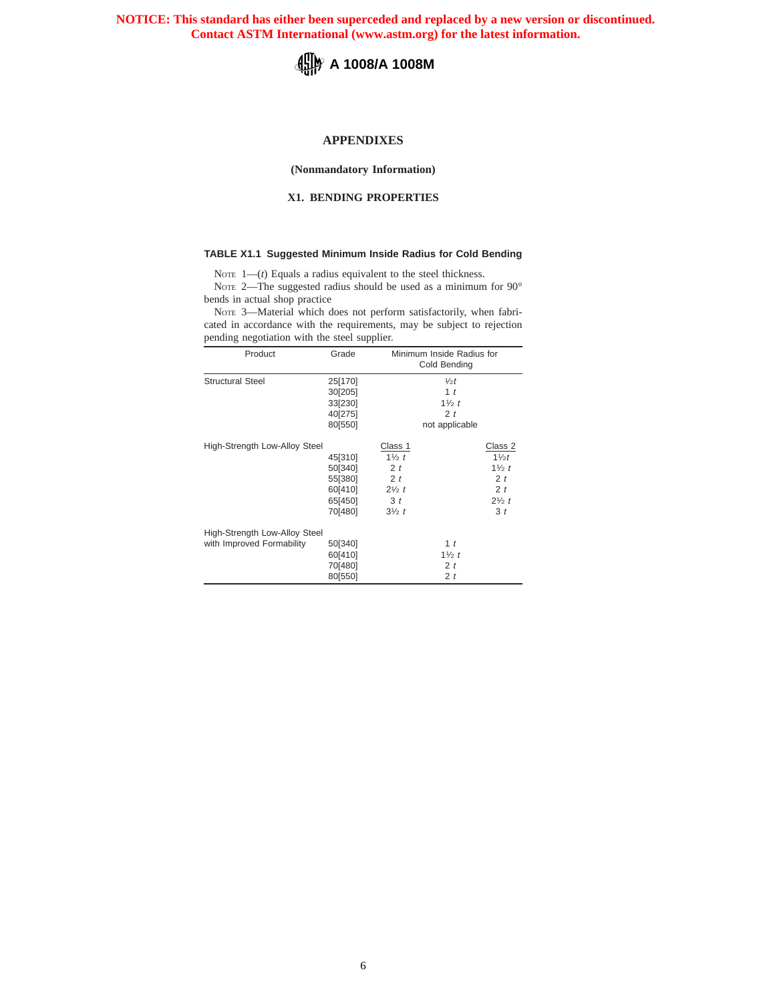

# **APPENDIXES**

**(Nonmandatory Information)**

# **X1. BENDING PROPERTIES**

#### **TABLE X1.1 Suggested Minimum Inside Radius for Cold Bending**

NOTE 1-(*t*) Equals a radius equivalent to the steel thickness.

NOTE 2—The suggested radius should be used as a minimum for 90° bends in actual shop practice

NOTE 3—Material which does not perform satisfactorily, when fabricated in accordance with the requirements, may be subject to rejection pending negotiation with the steel supplier.

| Product                                                    | Grade                                                          | Minimum Inside Radius for<br>Cold Bending                                                                                                                                                                                                 |
|------------------------------------------------------------|----------------------------------------------------------------|-------------------------------------------------------------------------------------------------------------------------------------------------------------------------------------------------------------------------------------------|
| <b>Structural Steel</b>                                    | 25[170]<br>30[205]<br>33[230]<br>40[275]<br>80[550]            | $\frac{1}{2}t$<br>1 <sub>t</sub><br>$1\frac{1}{2}t$<br>2 <sub>t</sub><br>not applicable                                                                                                                                                   |
| High-Strength Low-Alloy Steel                              | 45[310]<br>50[340]<br>55[380]<br>60[410]<br>65[450]<br>70[480] | Class 1<br>Class 2<br>$1\frac{1}{2} t$<br>11/2t<br>2 <sub>t</sub><br>$1\frac{1}{2}t$<br>2 <sub>t</sub><br>2 <sub>t</sub><br>2 <sub>t</sub><br>$2\frac{1}{2} t$<br>3 <sub>t</sub><br>$2\frac{1}{2} t$<br>3 <sub>t</sub><br>$3\frac{1}{2}t$ |
| High-Strength Low-Alloy Steel<br>with Improved Formability | 50[340]<br>60[410]<br>70[480]<br>80[550]                       | 1 <sub>t</sub><br>$1\frac{1}{2}t$<br>2 <sub>t</sub><br>2 <sub>t</sub>                                                                                                                                                                     |